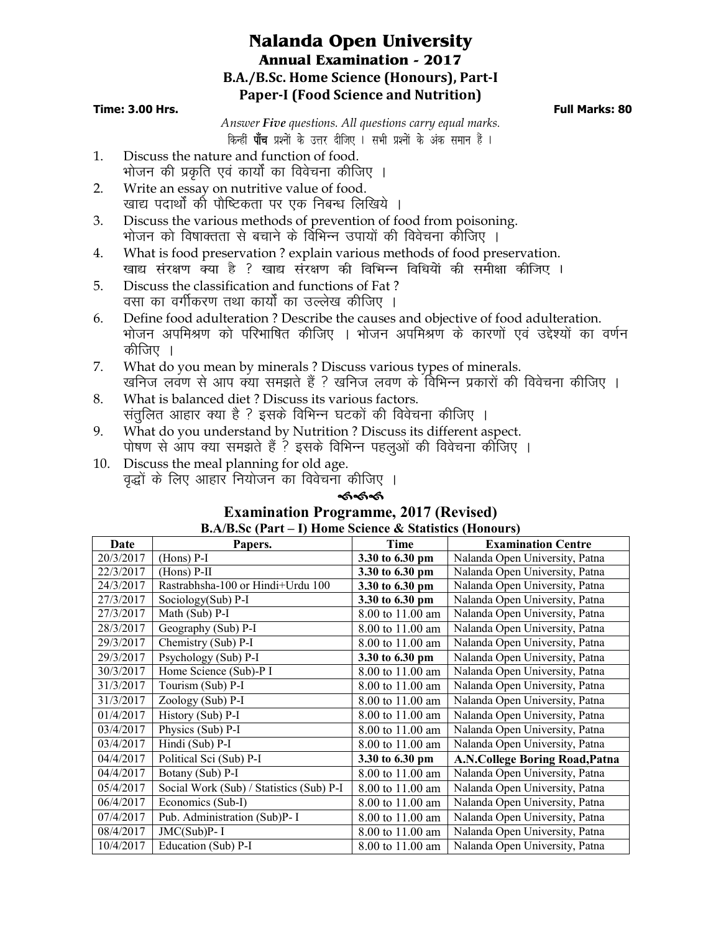# **Nalanda Open University Annual Examination - 2017 B.A./B.Sc. Home Science (Honours), Part-I Paper-I (Food Science and Nutrition)**

### **Time: 3.00 Hrs. Full Marks: 80**

*Answer Five questions. All questions carry equal marks*. *किन्हीं पाँच प्रश्नों के उत्तर दीजिए । सभी प्रश्नों के अंक समान हैं ।* 

- 1. Discuss the nature and function of food. भोजन की प्रकृति एवं कार्यों का विवेचना कीजिए ।
- 2. Write an essay on nutritive value of food. खाद्य पदार्थों को पौष्टिकता पर एक निबन्ध लिखिये ।
- 3. Discuss the various methods of prevention of food from poisoning. भोजन को विषाक्तता से बचाने के विभिन्न उपायों की विवेचना कीजिए ।
- 4. What is food preservation ? explain various methods of food preservation. *[kk| laj{k.k D;k gS \ [kk| laj{k.k dh fofHkUu fof/k;ksa dh leh{kk dhft, A*
- 5. Discuss the classification and functions of Fat ? वसा का वर्गीकरण तथा कार्यों का उल्लेख कीजिए ।
- 6. Define food adulteration ? Describe the causes and objective of food adulteration. भोजन अपमिश्रण को परिभाषित कीजिए । भोजन अपमिश्रण के कारणों एवं उद्देश्यों का वर्णन कीजिए ।
- 7. What do you mean by minerals ? Discuss various types of minerals. खनिज लवण से आप क्या समझते हैं ? खनिज लवण के विभिन्न प्रकारों की विवेचना कीजिए ।
- 8. What is balanced diet ? Discuss its various factors. संतुलित आहार क्या है ? इसके विभिन्न घटकों की विवेचना कीजिए ।
- 9. What do you understand by Nutrition ? Discuss its different aspect. पोषण से आप क्या समझते हैं ? इसके विभिन्न पहलुओं की विवेचना कीजिए ।
- 10. Discuss the meal planning for old age. वृद्धों के लिए आहार नियोजन का विवेचना कीजिए ।

## କ୍ଟେକ୍ଟ

#### **Examination Programme, 2017 (Revised) B.A/B.Sc (Part – I) Home Science & Statistics (Honours)**

| $\mathbf{D}.\mathbf{A}$ D. $\mathbf{D}.\mathbf{C}$ (F at $\mathbf{I} = \mathbf{I}$ ) from the Science $\alpha$ Statistics (from our s) |                                          |                  |                                |  |  |
|----------------------------------------------------------------------------------------------------------------------------------------|------------------------------------------|------------------|--------------------------------|--|--|
| Date                                                                                                                                   | Papers.                                  | Time             | <b>Examination Centre</b>      |  |  |
| 20/3/2017                                                                                                                              | $(Hons)$ P-I                             | 3.30 to 6.30 pm  | Nalanda Open University, Patna |  |  |
| 22/3/2017                                                                                                                              | $(Hons)$ P-II                            | 3.30 to 6.30 pm  | Nalanda Open University, Patna |  |  |
| 24/3/2017                                                                                                                              | Rastrabhsha-100 or Hindi+Urdu 100        | 3.30 to 6.30 pm  | Nalanda Open University, Patna |  |  |
| 27/3/2017                                                                                                                              | Sociology(Sub) P-I                       | 3.30 to 6.30 pm  | Nalanda Open University, Patna |  |  |
| 27/3/2017                                                                                                                              | Math (Sub) P-I                           | 8.00 to 11.00 am | Nalanda Open University, Patna |  |  |
| 28/3/2017                                                                                                                              | Geography (Sub) P-I                      | 8.00 to 11.00 am | Nalanda Open University, Patna |  |  |
| 29/3/2017                                                                                                                              | Chemistry (Sub) P-I                      | 8.00 to 11.00 am | Nalanda Open University, Patna |  |  |
| 29/3/2017                                                                                                                              | Psychology (Sub) P-I                     | 3.30 to 6.30 pm  | Nalanda Open University, Patna |  |  |
| 30/3/2017                                                                                                                              | Home Science (Sub)-P I                   | 8.00 to 11.00 am | Nalanda Open University, Patna |  |  |
| 31/3/2017                                                                                                                              | Tourism (Sub) P-I                        | 8.00 to 11.00 am | Nalanda Open University, Patna |  |  |
| 31/3/2017                                                                                                                              | Zoology (Sub) P-I                        | 8.00 to 11.00 am | Nalanda Open University, Patna |  |  |
| 01/4/2017                                                                                                                              | History (Sub) P-I                        | 8.00 to 11.00 am | Nalanda Open University, Patna |  |  |
| 03/4/2017                                                                                                                              | Physics (Sub) P-I                        | 8.00 to 11.00 am | Nalanda Open University, Patna |  |  |
| 03/4/2017                                                                                                                              | Hindi (Sub) P-I                          | 8.00 to 11.00 am | Nalanda Open University, Patna |  |  |
| 04/4/2017                                                                                                                              | Political Sci (Sub) P-I                  | 3.30 to 6.30 pm  | A.N.College Boring Road, Patna |  |  |
| 04/4/2017                                                                                                                              | Botany (Sub) P-I                         | 8.00 to 11.00 am | Nalanda Open University, Patna |  |  |
| 05/4/2017                                                                                                                              | Social Work (Sub) / Statistics (Sub) P-I | 8.00 to 11.00 am | Nalanda Open University, Patna |  |  |
| 06/4/2017                                                                                                                              | Economics (Sub-I)                        | 8.00 to 11.00 am | Nalanda Open University, Patna |  |  |
| 07/4/2017                                                                                                                              | Pub. Administration (Sub)P- I            | 8.00 to 11.00 am | Nalanda Open University, Patna |  |  |
| 08/4/2017                                                                                                                              | JMC(Sub)P-I                              | 8.00 to 11.00 am | Nalanda Open University, Patna |  |  |
| 10/4/2017                                                                                                                              | Education (Sub) $P-I$                    | 8.00 to 11.00 am | Nalanda Open University, Patna |  |  |
|                                                                                                                                        |                                          |                  |                                |  |  |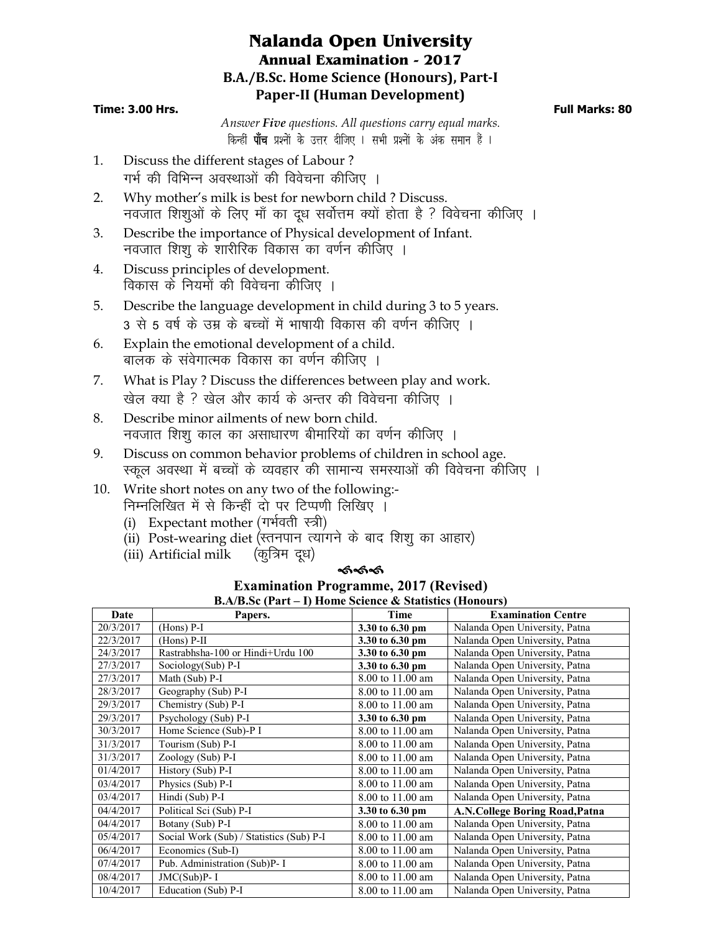## **Nalanda Open University Annual Examination - 2017 B.A./B.Sc. Home Science (Honours), Part-I Paper-II (Human Development)**

## **Time: 3.00 Hrs. Full Marks: 80**

*Answer Five questions. All questions carry equal marks*. *किन्हीं पाँच प्रश्नों के उत्तर दीजिए । सभी प्रश्नों के अंक समान हैं ।* 

- 1. Discuss the different stages of Labour ? गर्भ की विभिन्न अवस्थाओं की विवेचना कीजिए ।
- 2. Why mother's milk is best for newborn child ? Discuss. नवजात शिशुओं के लिए माँ का दूध सर्वोत्तम क्यों होता है ? विवेचना कीजिए ।
- 3. Describe the importance of Physical development of Infant. नवजात शिश के शारीरिक विकास का वर्णन कीजिए ।
- 4. Discuss principles of development. विकास के नियमों की विवेचना कीजिए ।
- 5. Describe the language development in child during 3 to 5 years. 3 से 5 वर्ष के उम्र के बच्चों में भाषायी विकास की वर्णन कीजिए ।
- 6. Explain the emotional development of a child. बालक के संवेगात्मक विकास का वर्णन कीजिए ।
- 7. What is Play ? Discuss the differences between play and work. खेल क्या है ? खेल और कार्य के अन्तर की विवेचना कीजिए ।
- 8. Describe minor ailments of new born child. नवजात शिश काल का असाधारण बीमारियों का वर्णन कीजिए ।
- 9. Discuss on common behavior problems of children in school age. रकल अवस्था में बच्चों के व्यवहार की सामान्य समस्याओं की विवेचना कीजिए ।
- 10. Write short notes on any two of the following:- निम्नलिखित में से किन्हीं दो पर टिप्पणी लिखिए ।
	- (i) Expectant mother (गर्भवती स्त्री)
	- (ii) Post-wearing diet (स्तनपान त्यांगने के बाद शिशू का आहार)
	- (iii) Artificial milk  $(\overline{q} \overline{q} \overline{q} \overline{q})$

## ≪ക്ക്

#### **Examination Programme, 2017 (Revised) B.A/B.Sc (Part – I) Home Science & Statistics (Honours)**

| $\mathbf{D}.\mathbf{A}$ $\mathbf{D}.\mathbf{S}$ c (1 at $\mathbf{C}$ – 1) frome science $\mathbf{\alpha}$ statistics (from $\mathbf{U}$ |                                          |                  |                                |  |  |
|-----------------------------------------------------------------------------------------------------------------------------------------|------------------------------------------|------------------|--------------------------------|--|--|
| Date                                                                                                                                    | Papers.                                  | Time             | <b>Examination Centre</b>      |  |  |
| 20/3/2017                                                                                                                               | $(Hons)$ P-I                             | 3.30 to 6.30 pm  | Nalanda Open University, Patna |  |  |
| 22/3/2017                                                                                                                               | $(Hons)$ P-II                            | 3.30 to 6.30 pm  | Nalanda Open University, Patna |  |  |
| 24/3/2017                                                                                                                               | Rastrabhsha-100 or Hindi+Urdu 100        | 3.30 to 6.30 pm  | Nalanda Open University, Patna |  |  |
| 27/3/2017                                                                                                                               | Sociology(Sub) P-I                       | 3.30 to 6.30 pm  | Nalanda Open University, Patna |  |  |
| 27/3/2017                                                                                                                               | Math (Sub) P-I                           | 8.00 to 11.00 am | Nalanda Open University, Patna |  |  |
| 28/3/2017                                                                                                                               | Geography (Sub) P-I                      | 8.00 to 11.00 am | Nalanda Open University, Patna |  |  |
| 29/3/2017                                                                                                                               | Chemistry (Sub) P-I                      | 8.00 to 11.00 am | Nalanda Open University, Patna |  |  |
| 29/3/2017                                                                                                                               | Psychology (Sub) P-I                     | 3.30 to 6.30 pm  | Nalanda Open University, Patna |  |  |
| 30/3/2017                                                                                                                               | Home Science (Sub)-P I                   | 8.00 to 11.00 am | Nalanda Open University, Patna |  |  |
| 31/3/2017                                                                                                                               | Tourism (Sub) P-I                        | 8.00 to 11.00 am | Nalanda Open University, Patna |  |  |
| 31/3/2017                                                                                                                               | Zoology (Sub) P-I                        | 8.00 to 11.00 am | Nalanda Open University, Patna |  |  |
| 01/4/2017                                                                                                                               | History (Sub) P-I                        | 8.00 to 11.00 am | Nalanda Open University, Patna |  |  |
| 03/4/2017                                                                                                                               | Physics (Sub) P-I                        | 8.00 to 11.00 am | Nalanda Open University, Patna |  |  |
| 03/4/2017                                                                                                                               | Hindi (Sub) P-I                          | 8.00 to 11.00 am | Nalanda Open University, Patna |  |  |
| 04/4/2017                                                                                                                               | Political Sci (Sub) P-I                  | 3.30 to 6.30 pm  | A.N.College Boring Road, Patna |  |  |
| 04/4/2017                                                                                                                               | Botany (Sub) P-I                         | 8.00 to 11.00 am | Nalanda Open University, Patna |  |  |
| 05/4/2017                                                                                                                               | Social Work (Sub) / Statistics (Sub) P-I | 8.00 to 11.00 am | Nalanda Open University, Patna |  |  |
| 06/4/2017                                                                                                                               | Economics (Sub-I)                        | 8.00 to 11.00 am | Nalanda Open University, Patna |  |  |
| 07/4/2017                                                                                                                               | Pub. Administration (Sub)P- I            | 8.00 to 11.00 am | Nalanda Open University, Patna |  |  |
| 08/4/2017                                                                                                                               | $JMC(Sub)P-I$                            | 8.00 to 11.00 am | Nalanda Open University, Patna |  |  |
| 10/4/2017                                                                                                                               | Education (Sub) P-I                      | 8.00 to 11.00 am | Nalanda Open University, Patna |  |  |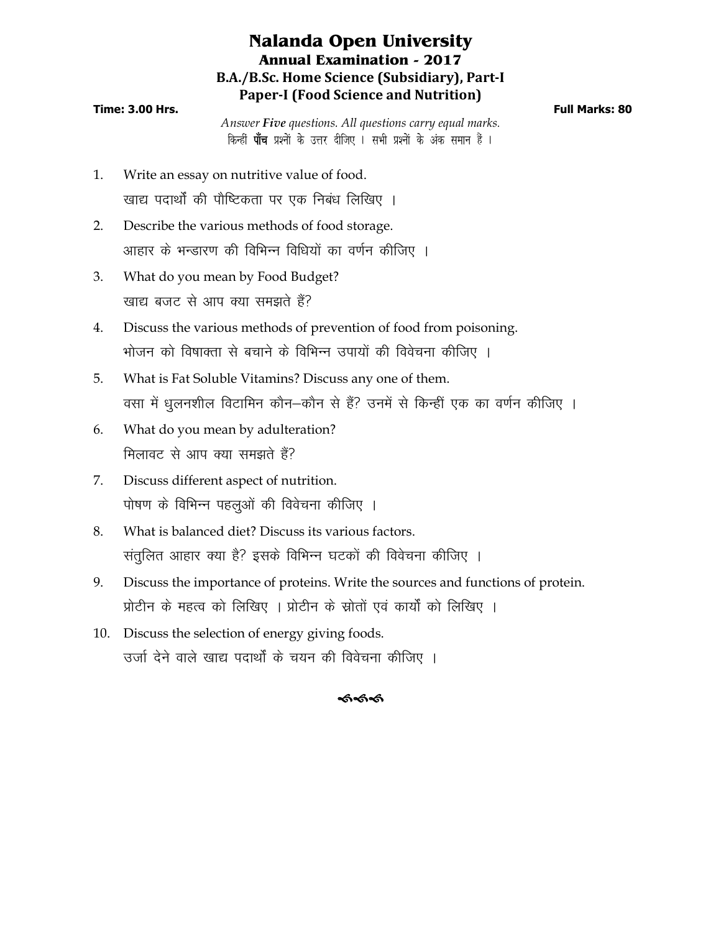## **Nalanda Open University Annual Examination - 2017 B.A./B.Sc. Home Science (Subsidiary), Part-I Paper-I (Food Science and Nutrition)**

## **Time: 3.00 Hrs. Full Marks: 80**

*Answer Five questions. All questions carry equal marks*. *किन्हीं पाँच प्रश्नों के उत्तर दीजिए । सभी प्रश्नों के अंक समान हैं ।* 

- 1. Write an essay on nutritive value of food. खाद्य पदार्थों की पौष्टिकता पर एक निबंध लिखिए ।
- 2. Describe the various methods of food storage. आहार के भन्डारण की विभिन्न विधियों का वर्णन कीजिए ।
- 3. What do you mean by Food Budget? खाद्य बजट से आप क्या समझते हैं?
- 4. Discuss the various methods of prevention of food from poisoning. भोजन को विषाक्ता से बचाने के विभिन्न उपायों की विवेचना कीजिए ।
- 5. What is Fat Soluble Vitamins? Discuss any one of them. वसा में धूलनशील विटामिन कौन–कौन से हैं? उनमें से किन्हीं एक का वर्णन कीजिए ।
- 6. What do you mean by adulteration? मिलावट से आप क्या समझते हैं?
- 7. Discuss different aspect of nutrition. पोषण के विभिन्न पहलुओं की विवेचना कीजिए ।
- 8. What is balanced diet? Discuss its various factors. संतुलित आहार क्या है? इसके विभिन्न घटकों की विवेचना कीजिए ।
- 9. Discuss the importance of proteins. Write the sources and functions of protein. प्रोटीन के महत्व को लिखिए । प्रोटीन के स्रोतों एवं कार्यों को लिखिए ।
- 10. Discuss the selection of energy giving foods. उर्जा देने वाले खाद्य पदार्थों के चयन की विवेचना कीजिए ।

## ককক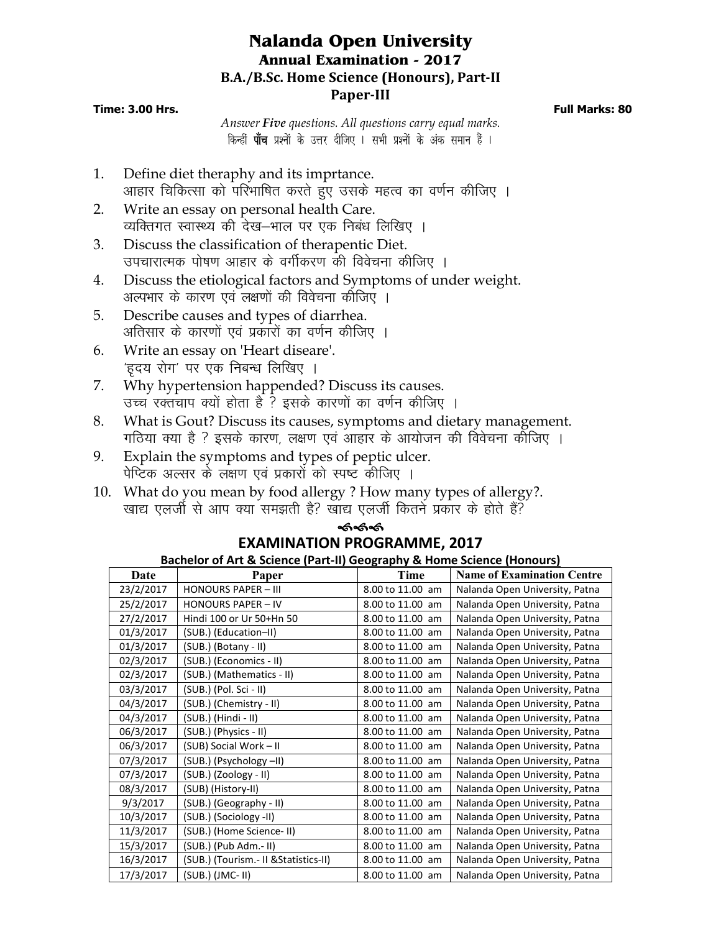## **Nalanda Open University Annual Examination - 2017 B.A./B.Sc. Home Science (Honours), Part-II Paper-III**

## **Time: 3.00 Hrs. Full Marks: 80**

*Answer Five questions. All questions carry equal marks*. *किन्हीं पाँच प्रश्नों के उत्तर दीजिए । सभी प्रश्नों के अंक समान हैं ।* 

- 1. Define diet theraphy and its imprtance. आहार चिकित्सा को परिभाषित करते हुए उसके महत्व का वर्णन कीजिए ।
- 2. Write an essay on personal health Care. व्यक्तिगत स्वास्थ्य की देख–भाल पर एक निबंध लिखिए ।
- 3. Discuss the classification of therapentic Diet. उपचारात्मक पोषण आहार के वर्गीकरण की विवेचना कीजिए ।
- 4. Discuss the etiological factors and Symptoms of under weight. अल्पभार के कारण एवं लक्षणों की विवेचना कीजिए ।
- 5. Describe causes and types of diarrhea. अतिसार के कारणों एवं प्रकारों का वर्णन कीजिए ।
- 6. Write an essay on 'Heart diseare'. *'*हदय रोग' पर एक निबन्ध लिखिए ।
- 7. Why hypertension happended? Discuss its causes. उच्च रक्तचाप क्यों होता है ? इसके कारणों का वर्णन कीजिए ।
- 8. What is Gout? Discuss its causes, symptoms and dietary management. गठिया क्या है ? इसके कारण, लक्षण एवं आहार के आयोजन की विवेचना कोजिए ।
- 9. Explain the symptoms and types of peptic ulcer. पेप्टिक अल्सर के लक्षण एवं प्रकारों को स्पष्ट कीजिए ।
- 10. What do you mean by food allergy ? How many types of allergy?. खाद्य एलर्जी से आप क्या समझती है? खाद्य एलर्जी कितने प्रकार के होते हैं?

#### ଈଈଈ **EXAMINATION PROGRAMME, 2017 Bachelor of Art & Science (Part-II) Geography & Home Science (Honours)**

|           | Bachelor of Art & Science (Part-II) Geography & Home Science (Honours) |                  |                                   |  |  |  |
|-----------|------------------------------------------------------------------------|------------------|-----------------------------------|--|--|--|
| Date      | Paper                                                                  | Time             | <b>Name of Examination Centre</b> |  |  |  |
| 23/2/2017 | <b>HONOURS PAPER - III</b>                                             | 8.00 to 11.00 am | Nalanda Open University, Patna    |  |  |  |
| 25/2/2017 | <b>HONOURS PAPER - IV</b>                                              | 8.00 to 11.00 am | Nalanda Open University, Patna    |  |  |  |
| 27/2/2017 | Hindi 100 or Ur 50+Hn 50                                               | 8.00 to 11.00 am | Nalanda Open University, Patna    |  |  |  |
| 01/3/2017 | (SUB.) (Education-II)                                                  | 8.00 to 11.00 am | Nalanda Open University, Patna    |  |  |  |
| 01/3/2017 | (SUB.) (Botany - II)                                                   | 8.00 to 11.00 am | Nalanda Open University, Patna    |  |  |  |
| 02/3/2017 | (SUB.) (Economics - II)                                                | 8.00 to 11.00 am | Nalanda Open University, Patna    |  |  |  |
| 02/3/2017 | (SUB.) (Mathematics - II)                                              | 8.00 to 11.00 am | Nalanda Open University, Patna    |  |  |  |
| 03/3/2017 | (SUB.) (Pol. Sci - II)                                                 | 8.00 to 11.00 am | Nalanda Open University, Patna    |  |  |  |
| 04/3/2017 | (SUB.) (Chemistry - II)                                                | 8.00 to 11.00 am | Nalanda Open University, Patna    |  |  |  |
| 04/3/2017 | (SUB.) (Hindi - II)                                                    | 8.00 to 11.00 am | Nalanda Open University, Patna    |  |  |  |
| 06/3/2017 | (SUB.) (Physics - II)                                                  | 8.00 to 11.00 am | Nalanda Open University, Patna    |  |  |  |
| 06/3/2017 | (SUB) Social Work - II                                                 | 8.00 to 11.00 am | Nalanda Open University, Patna    |  |  |  |
| 07/3/2017 | (SUB.) (Psychology -II)                                                | 8.00 to 11.00 am | Nalanda Open University, Patna    |  |  |  |
| 07/3/2017 | (SUB.) (Zoology - II)                                                  | 8.00 to 11.00 am | Nalanda Open University, Patna    |  |  |  |
| 08/3/2017 | (SUB) (History-II)                                                     | 8.00 to 11.00 am | Nalanda Open University, Patna    |  |  |  |
| 9/3/2017  | (SUB.) (Geography - II)                                                | 8.00 to 11.00 am | Nalanda Open University, Patna    |  |  |  |
| 10/3/2017 | (SUB.) (Sociology -II)                                                 | 8.00 to 11.00 am | Nalanda Open University, Patna    |  |  |  |
| 11/3/2017 | (SUB.) (Home Science-II)                                               | 8.00 to 11.00 am | Nalanda Open University, Patna    |  |  |  |
| 15/3/2017 | (SUB.) (Pub Adm.- II)                                                  | 8.00 to 11.00 am | Nalanda Open University, Patna    |  |  |  |
| 16/3/2017 | (SUB.) (Tourism.- II & Statistics-II)                                  | 8.00 to 11.00 am | Nalanda Open University, Patna    |  |  |  |
| 17/3/2017 | $(SUB.)$ (JMC-II)                                                      | 8.00 to 11.00 am | Nalanda Open University, Patna    |  |  |  |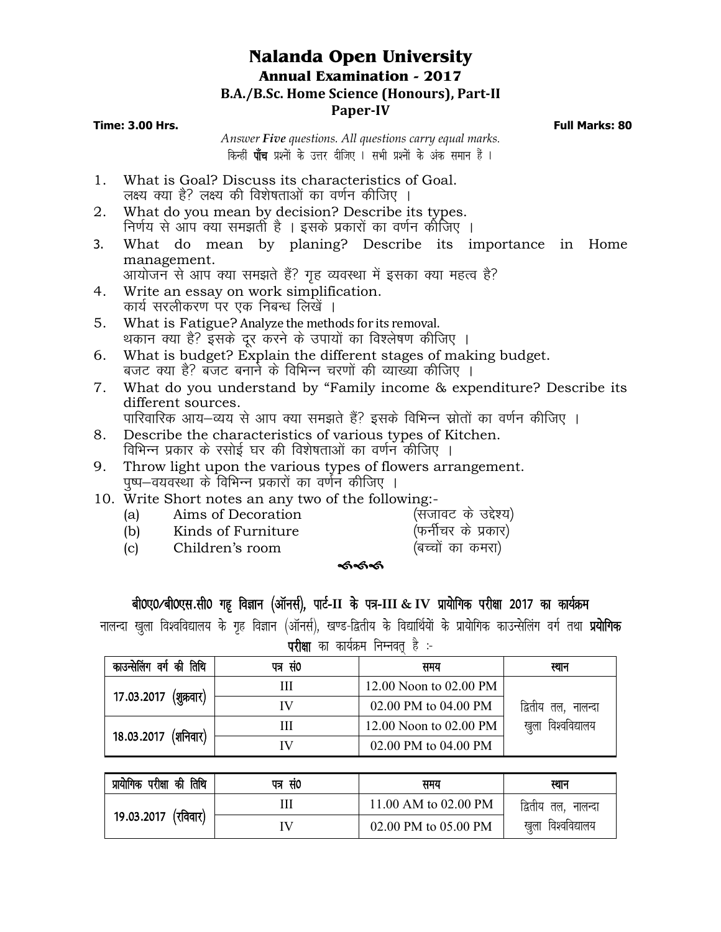## **Nalanda Open University Annual Examination - 2017 B.A./B.Sc. Home Science (Honours), Part-II Paper-IV**

**Time: 3.00 Hrs. Full Marks: 80**

*Answer Five questions. All questions carry equal marks*. *किन्हीं पाँच प्रश्नों के उत्तर दीजिए । सभी प्रश्नों के अंक समान हैं ।* 

- 1. What is Goal? Discuss its characteristics of Goal. लक्ष्य क्या है? लक्ष्य की विशेषताओं का वर्णन कीजिए ।
- 2. What do you mean by decision? Describe its types. निर्णय से आप क्या समझती है । इसके प्रकारों का वर्णन कीजिए ।
- 3. What do mean by planing? Describe its importance in Home management.

आयोजन से आप क्या समझते हैं? गृह व्यवस्था में इसका क्या महत्व है?

- 4. Write an essay on work simplification. कार्य सरलीकरण पर एक निबन्ध लिखें ।
- 5. What is Fatigue? Analyze the methods for its removal. थकान क्या है? इसके दूर करने के उपायों का विश्लेषण कीजिए ।
- 6. What is budget? Explain the different stages of making budget. बजट क्या है? बजट बनाने के विभिन्न चरणों की व्याख्या कीजिए ।
- 7. What do you understand by "Family income & expenditure? Describe its different sources.
	- पारिवारिक आय—व्यय से आप क्या समझते हैं? इसके विभिन्न स्रोतों का वर्णन कीजिए ।
- 8. Describe the characteristics of various types of Kitchen. विभिन्न प्रकार के रसोई घर की विशेषताओं का वर्णन कीजिए ।
- 9. Throw light upon the various types of flowers arrangement. पुष्प–वयवर्ख्या के विभिन्न प्रकारों का वर्णन कीजिए ।
- 10. Write Short notes an any two of the following:-<br>(a) Aims of Decoration (सजावट के उद्देश्य)
	- (a) Aims of Decoration (सजावट के उद्देश्य)<br>(b) Kinds of Furniture (फर्नीचर के प्रकार)
	- $(b)$  Kinds of Furniture
	- (c) Children's room (बच्चों का कमरा)
- - st

## *ch0,0@ch0,l-lh0 xg` foKku ¼vkWulZ½] ikVZ***-II** *ds i=***-III & IV** *izk;ksfxd ijh{kk 2017 dk dk;ZØe*

नालन्दा खुला विश्वविद्यालय के गृह विज्ञान (ऑनर्स), खण्ड-द्वितीय के विद्यार्थियों के प्रायोगिक काउन्सेलिंग वर्ग तथा **प्रयोगिक**  $\overline{u}$ *h* $\overline{m}$  an an  $\overline{a}$  and  $\overline{b}$  function  $\overline{r}$   $\overline{r}$   $\overline{r}$ 

| काउन्सेलिंग वर्ग की तिथि | पत्र सं0 | समय                    | स्थान               |  |  |  |
|--------------------------|----------|------------------------|---------------------|--|--|--|
|                          | Ш        | 12.00 Noon to 02.00 PM |                     |  |  |  |
| 17.03.2017 (शुक्रवार)    | IV       | 02.00 PM to 04.00 PM   | द्वितीय तल, नालन्दा |  |  |  |
| 18.03.2017 (शनिवार)      | Ш        | 12.00 Noon to 02.00 PM | खुला विश्वविद्यालय  |  |  |  |
|                          | IV       | 02.00 PM to 04.00 PM   |                     |  |  |  |

| प्रायोगिक परीक्षा की तिथि | पत्र सं0 | समय                  | स्थान               |
|---------------------------|----------|----------------------|---------------------|
| 19.03.2017 (रविवार)       |          | 11.00 AM to 02.00 PM | द्वितीय तल, नालन्दा |
|                           | IV       | 02.00 PM to 05.00 PM | खुला विश्वविद्यालय  |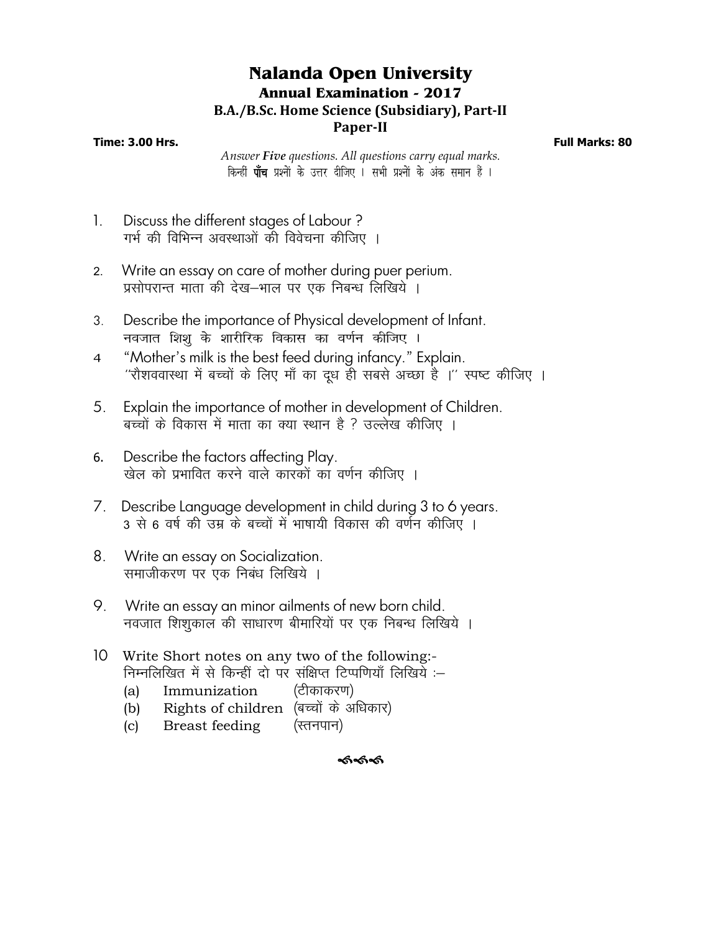## **Nalanda Open University Annual Examination - 2017 B.A./B.Sc. Home Science (Subsidiary), Part-II**

## **Paper-II**

**Time: 3.00 Hrs. Full Marks: 80**

*Answer Five questions. All questions carry equal marks*. *किन्हीं पाँच प्रश्नों के उत्तर दीजिए । सभी प्रश्नों के अंक समान हैं ।* 

- 1. Discuss the different stages of Labour ? गर्भ की विभिन्न अवस्थाओं की विवेचना कीजिए ।
- 2- Write an essay on care of mother during puer perium. प्रसोपरान्त माता की देख—भाल पर एक निबन्ध लिखिये ।
- 3. Describe the importance of Physical development of Infant. *uotkr f'k'kq ds 'kkjhfjd fodkl dk o.kZu dhft, A*
- *4* "Mother's milk is the best feed during infancy." Explain. "रौशववास्था में बच्चों के लिए माँ का दूध ही सबसे अच्छा है ।'' स्पष्ट कीजिए ।
- 5. Explain the importance of mother in development of Children. बच्चों के विकास में माता का क्या स्थान है ? उल्लेख कीजिए ।
- 6. Describe the factors affecting Play. खेल को प्रभावित करने वाले कारकों का वर्णन कीजिए ।
- 7. Describe Language development in child during 3 to 6 years. 3 से 6 वर्ष की उम्र के बच्चों में भाषायी विकास की वर्णन कीजिए ।
- 8. Write an essay on Socialization. समाजीकरण पर एक निबंध लिखिये ।
- 9. Write an essay an minor ailments of new born child. नवजात शिशुकाल की साधारण बीमारियों पर एक निबन्ध लिखिये ।
- 10 Write Short notes on any two of the following:- निम्नलिखित में से किन्हीं दो पर संक्षिप्त टिप्पणियाँ लिखिये :–
	- (a) Immunization (टीकाकरण)
	- (b) Rights of children (बच्चों के अधिकार)
	- $(c)$  Breast feeding  $(\text{rctr}(\text{rctr}))$

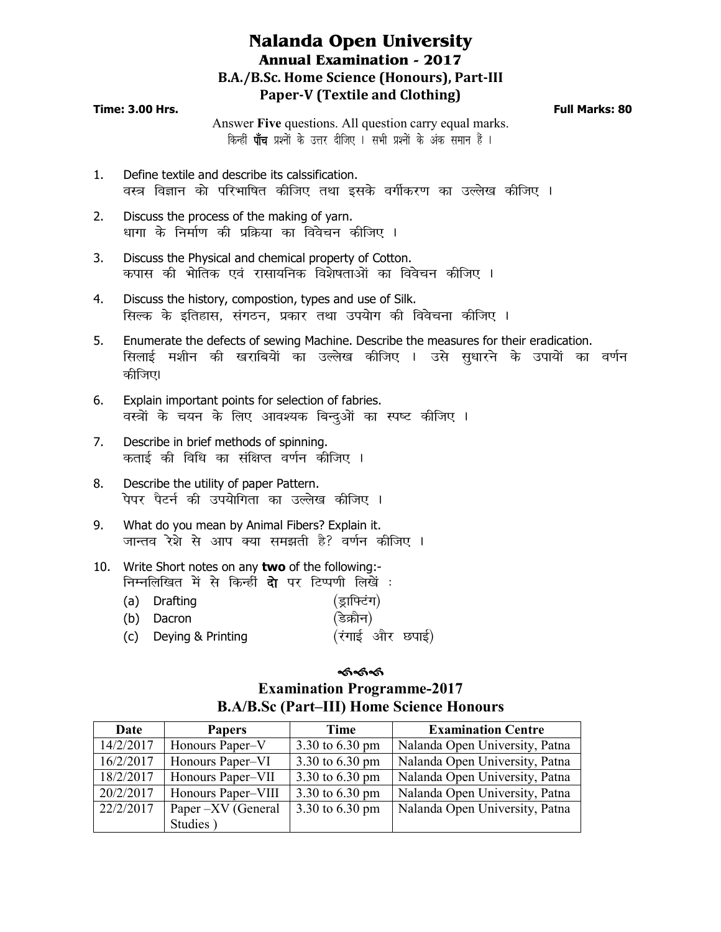## **Nalanda Open University Annual Examination - 2017 B.A./B.Sc. Home Science (Honours), Part-III Paper-V (Textile and Clothing)**

#### **Time: 3.00 Hrs. Full Marks: 80**

Answer **Five** questions. All question carry equal marks. *किन्हीं पाँच प्रश्नों के उत्तर दीजिए । सभी प्रश्नों के अंक समान हैं ।* 

- 1. Define textile and describe its calssification. वस्त्र विज्ञान को परिभाषित कीजिए तथा इसके वर्गीकरण का उल्लेख कीजिए ।
- 2. Discuss the process of the making of yarn. */kkxk ds fuekZ.k dh izfØ;k dk foospu dhft, A*
- 3. Discuss the Physical and chemical property of Cotton. *dikl dh Hkksfrd ,oa jklk;fud fo'ks"krkvksa dk foospu dhft, A*
- 4. Discuss the history, compostion, types and use of Silk. *सिल्क के इतिहास, संगठन, प्रकार तथा उपयोग की विवेचना कीजिए ।*
- 5. Enumerate the defects of sewing Machine. Describe the measures for their eradication. *flykbZ e'khu dh [kjkfc;ksa dk mYys[k dhft, A mls lq/kkjus ds mik;ksa dk o.kZu*  कीजिए।
- 6. Explain important points for selection of fabries. वस्त्रों के चयन के लिए आवश्यक बिन्दुओं का स्पष्ट कीजिए **।**
- 7. Describe in brief methods of spinning. *क*ताई की विधि का संक्षिप्त वर्णन कीजिए ।
- 8. Describe the utility of paper Pattern. .<br>पेपर पैटर्न की उपयोगिता का उल्लेख कीजिए ।
- 9. What do you mean by Animal Fibers? Explain it. जान्तव रेश्ने से आप क्या समझती है? वर्णन कीजिए l
- 10. Write Short notes on any **two** of the following: *fuEufyf[kr esa ls fdUgha nk s ij fVIi.kh fy[ksa %*
	- (a) Drafting *(*इाफ्टिंग) (b) Dacron *(*डेक्रोन) (c) Deying & Printing *(रंगाई और छपाई)*

#### ෯෯෯

# **Examination Programme-2017 B.A/B.Sc (Part–III) Home Science Honours**

| Date      | <b>Papers</b>      | <b>Time</b>     | <b>Examination Centre</b>      |
|-----------|--------------------|-----------------|--------------------------------|
| 14/2/2017 | Honours Paper-V    | 3.30 to 6.30 pm | Nalanda Open University, Patna |
| 16/2/2017 | Honours Paper–VI   | 3.30 to 6.30 pm | Nalanda Open University, Patna |
| 18/2/2017 | Honours Paper-VII  | 3.30 to 6.30 pm | Nalanda Open University, Patna |
| 20/2/2017 | Honours Paper–VIII | 3.30 to 6.30 pm | Nalanda Open University, Patna |
| 22/2/2017 | Paper -XV (General | 3.30 to 6.30 pm | Nalanda Open University, Patna |
|           | Studies)           |                 |                                |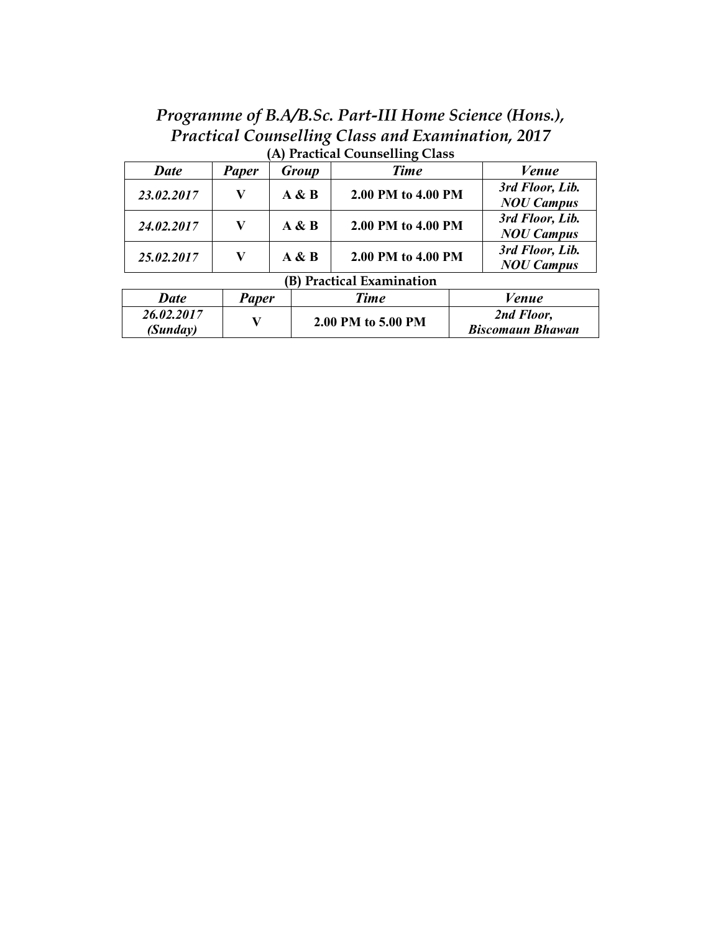*Programme of B.A/B.Sc. Part-III Home Science (Hons.), Practical Counselling Class and Examination, 2017* **(A) Practical Counselling Class**

| $\mu$ , $\mu$ and $\mu$ and $\mu$ and $\mu$ and $\mu$ |                           |       |                    |                                       |  |  |
|-------------------------------------------------------|---------------------------|-------|--------------------|---------------------------------------|--|--|
| Date                                                  | Paper                     | Group | <b>Time</b>        | Venue                                 |  |  |
| 23.02.2017                                            | V                         | A & B | 2.00 PM to 4.00 PM | 3rd Floor, Lib.<br><b>NOU Campus</b>  |  |  |
| 24.02.2017                                            | V                         | A & B | 2.00 PM to 4.00 PM | 3rd Floor, Lib.<br><b>NOU Campus</b>  |  |  |
| 25.02.2017                                            | V                         | A & B | 2.00 PM to 4.00 PM | 3rd Floor, Lib.<br><b>NOU Campus</b>  |  |  |
|                                                       | (B) Practical Examination |       |                    |                                       |  |  |
| Date                                                  | <b>Paper</b>              |       | <b>Time</b>        | <b>Venue</b>                          |  |  |
| 26.02.2017<br>(Sunday)                                |                           |       | 2.00 PM to 5.00 PM | 2nd Floor,<br><b>Biscomaun Bhawan</b> |  |  |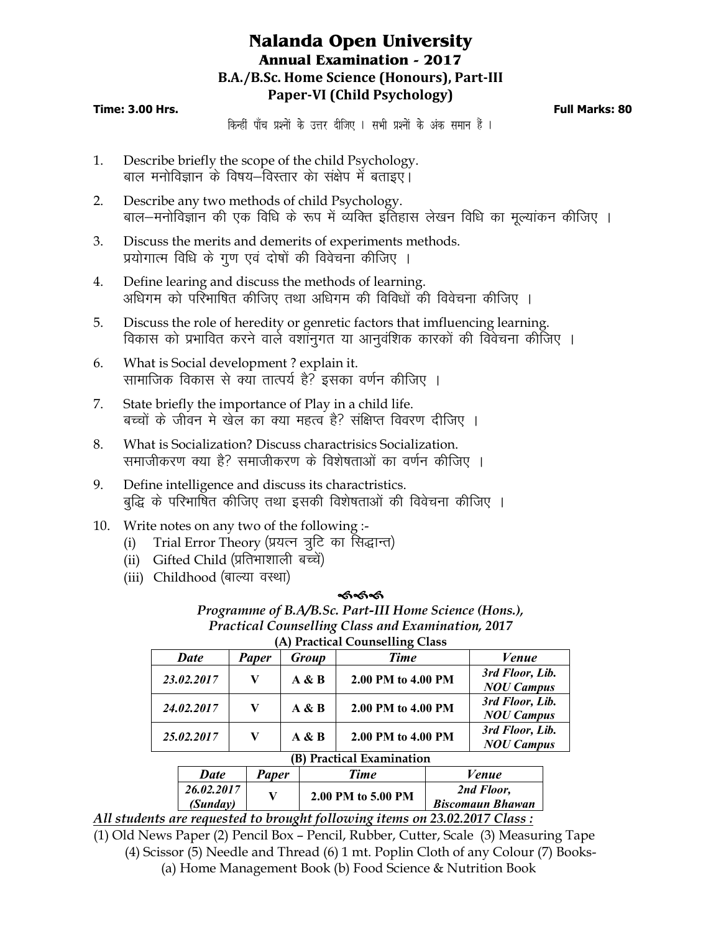# **Nalanda Open University Annual Examination - 2017 B.A./B.Sc. Home Science (Honours), Part-III Paper-VI (Child Psychology)**

### **Time: 3.00 Hrs. Full Marks: 80**

*किन्हीं* पाँच प्रश्नों के उत्तर दीजिए । सभी प्रश्नों के अंक समान हैं ।

- 1. Describe briefly the scope of the child Psychology. बाल मनोविज्ञान के विषय-विस्तार का संक्षेप में बताइए।
- 2. Describe any two methods of child Psychology. बाल–मनोविज्ञान की एक विधि के रूप में व्यक्ति इतिहास लेखन विधि का मुल्यांकन कीजिए ।
- 3. Discuss the merits and demerits of experiments methods. प्रयोगात्म विधि के गुण एवं दोषों की विवेचना कीजिए ।
- 4. Define learing and discuss the methods of learning. अधिगम को परिभाषित कीजिए तथा अधिगम की विविधों की विवेचना कीजिए ।
- 5. Discuss the role of heredity or genretic factors that imfluencing learning. विकास को प्रभावित करने वाले वशांनुगत या आनुवंशिक कारकों की विवेचना कीजिए ।
- 6. What is Social development ? explain it. सामाजिक विकास से क्या तात्पर्य है? इसका वर्णन कीजिए ।
- 7. State briefly the importance of Play in a child life. बच्चों के जीवन मे खेल का क्या महत्व है? संक्षिप्त विवरण दीजिए ।
- 8. What is Socialization? Discuss charactrisics Socialization. समाजीकरण क्या है? समाजीकरण के विशेषताओं का वर्णन कीजिए ।
- 9. Define intelligence and discuss its charactristics. बुद्धि के परिभाषित कीजिए तथा इसकी विशेषताओं की विवेचना कीजिए ।
- 10. Write notes on any two of the following :-
	- (i) Trial Error Theory (प्रयत्न त्रूटि का सिद्धान्त)
	- (ii) Gifted Child (प्रतिभाशाली बच्चें)
	- (iii) Childhood (बाल्या वस्था)

*26.02.2017*

#### ককক

*Programme of B.A/B.Sc. Part-III Home Science (Hons.), Practical Counselling Class and Examination, 2017* **(A) Practical Counselling Class**

|                           |             |              |       | $\sigma$           |  |                                      |
|---------------------------|-------------|--------------|-------|--------------------|--|--------------------------------------|
|                           | <b>Date</b> | <b>Paper</b> | Group | <b>Time</b>        |  | <i>Venue</i>                         |
|                           | 23.02.2017  | V            | A & B | 2.00 PM to 4.00 PM |  | 3rd Floor, Lib.<br><b>NOU Campus</b> |
|                           | 24.02.2017  | V            | A & B | 2.00 PM to 4.00 PM |  | 3rd Floor, Lib.<br><b>NOU Campus</b> |
|                           | 25.02.2017  | V            | A & B | 2.00 PM to 4.00 PM |  | 3rd Floor, Lib.<br><b>NOU Campus</b> |
| (B) Practical Examination |             |              |       |                    |  |                                      |
|                           | <b>Date</b> | <b>Paper</b> |       | <b>Time</b>        |  | Venue                                |

*All students are requested to brought following items on 23.02.2017 Class :*

(1) Old News Paper (2) Pencil Box – Pencil, Rubber, Cutter, Scale (3) Measuring Tape (4) Scissor (5) Needle and Thread (6) 1 mt. Poplin Cloth of any Colour (7) Books- (a) Home Management Book (b) Food Science & Nutrition Book

 $\begin{array}{c|c|c|c} 26.02.2017 & & \times & 2.00 \text{ PM to } 5.00 \text{ PM} & & \text{Biscomain Bha} \end{array}$ 

*Biscomaun Bhawan*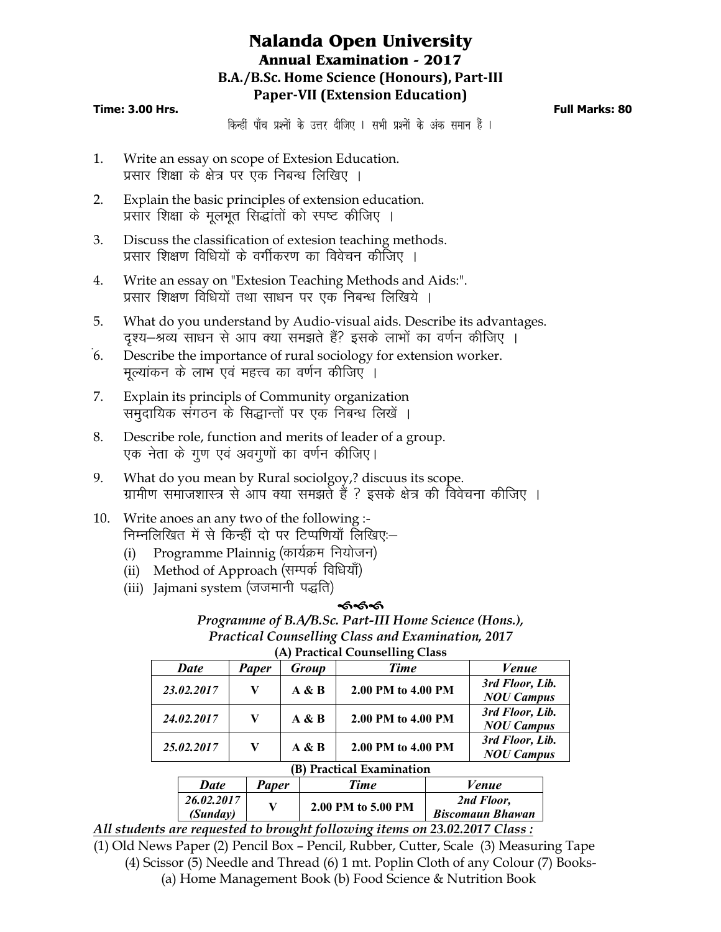# **Nalanda Open University Annual Examination - 2017 B.A./B.Sc. Home Science (Honours), Part-III Paper-VII (Extension Education)**

#### **Time: 3.00 Hrs. Full Marks: 80**

*किन्हीं* पाँच प्रश्नों के उत्तर दीजिए । सभी प्रश्नों के अंक समान हैं ।

- 1. Write an essay on scope of Extesion Education. प्रसार शिक्षा के क्षेत्र पर एक निबन्ध लिखिए ।
- 2. Explain the basic principles of extension education. प्रसार शिक्षा के मुलभूत सिद्धांतों को स्पष्ट कीजिए ।
- 3. Discuss the classification of extesion teaching methods. प्रसार शिक्षण विधियों के वर्गीकरण का विवेचन कीजिए ।
- 4. Write an essay on "Extesion Teaching Methods and Aids:". प्रसार शिक्षण विधियों तथा साधन पर एक निबन्ध लिखिये ।
- 5. What do you understand by Audio-visual aids. Describe its advantages. दश्य–श्रव्य साधन से आप क्या समझते हैं? इसके लाभों का वर्णन कीजिए ।
- 6. Describe the importance of rural sociology for extension worker. मूल्यांकन के लाभ एवं महत्त्व का वर्णन कीजिए ।
- 7. Explain its principls of Community organization समुदायिक संगठन के सिद्धान्तों पर एक निबन्ध लिखें ।
- 8. Describe role, function and merits of leader of a group. एक नेता के गुण एवं अवगुणों का वर्णन कीजिए।
- 9. What do you mean by Rural sociolgoy,? discuus its scope. ग्रामीण समाजशास्त्र से आप क्या समझते हैं ? इसके क्षेत्र की विवेचना कीजिए ।
- 10. Write anoes an any two of the following :- निम्नलिखित में से किन्हीं दो पर टिप्पणियाँ लिखिए:—
	- (i) Programme Plainnig (कार्यक्रम नियोजन)
	- (ii) Method of Approach (सम्पर्क विधियाँ)
	- (iii) Jajmani system (जजमानी पद्धति)

## ଈେଣ୍ଡ

*Programme of B.A/B.Sc. Part-III Home Science (Hons.), Practical Counselling Class and Examination, 2017* **(A) Practical Counselling Class**

| Date       | Paper | Group | <b>Time</b>        | Venue                                |
|------------|-------|-------|--------------------|--------------------------------------|
| 23.02.2017 | V     | A & B | 2.00 PM to 4.00 PM | 3rd Floor, Lib.<br><b>NOU Campus</b> |
| 24.02.2017 | V     | A & B | 2.00 PM to 4.00 PM | 3rd Floor, Lib.<br><b>NOU Campus</b> |
| 25.02.2017 | V     | A & B | 2.00 PM to 4.00 PM | 3rd Floor, Lib.<br><b>NOU Campus</b> |

#### **(B) Practical Examination**

| <b>Date</b> | Paper | Time               | Venue                   |  |  |
|-------------|-------|--------------------|-------------------------|--|--|
| 26.02.2017  |       | 2.00 PM to 5.00 PM | 2nd Floor,              |  |  |
| (Sunday)    |       |                    | <b>Biscomaun Bhawan</b> |  |  |
| 22.02.01777 |       |                    |                         |  |  |

*All students are requested to brought following items on 23.02.2017 Class :*

(1) Old News Paper (2) Pencil Box – Pencil, Rubber, Cutter, Scale (3) Measuring Tape (4) Scissor (5) Needle and Thread (6) 1 mt. Poplin Cloth of any Colour (7) Books- (a) Home Management Book (b) Food Science & Nutrition Book